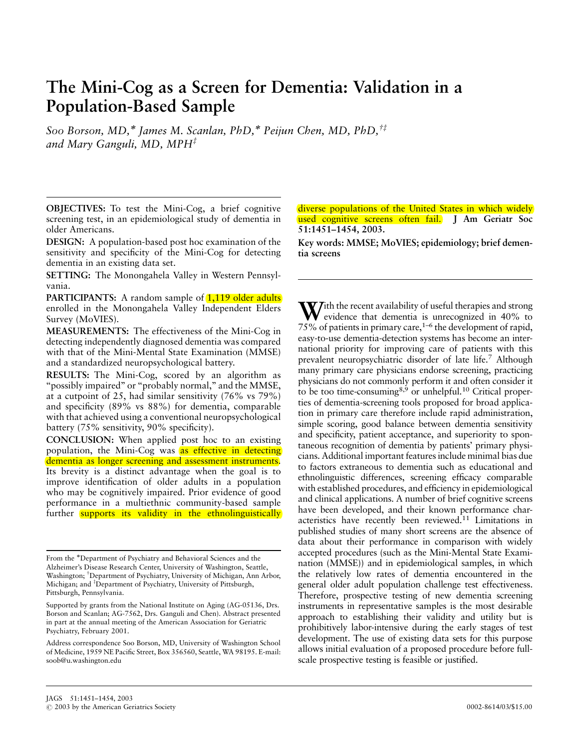# The Mini-Cog as a Screen for Dementia: Validation in a Population-Based Sample

Soo Borson, MD,\* James M. Scanlan, PhD,\* Peijun Chen, MD, PhD, $^{t\ddagger}$ and Mary Ganguli, MD,  $MPH^{\ddagger}$ 

OBJECTIVES: To test the Mini-Cog, a brief cognitive screening test, in an epidemiological study of dementia in older Americans.

DESIGN: A population-based post hoc examination of the sensitivity and specificity of the Mini-Cog for detecting dementia in an existing data set.

SETTING: The Monongahela Valley in Western Pennsylvania.

PARTICIPANTS: A random sample of **1,119 older adults** enrolled in the Monongahela Valley Independent Elders Survey (MoVIES).

MEASUREMENTS: The effectiveness of the Mini-Cog in detecting independently diagnosed dementia was compared with that of the Mini-Mental State Examination (MMSE) and a standardized neuropsychological battery.

RESULTS: The Mini-Cog, scored by an algorithm as "possibly impaired" or "probably normal," and the MMSE, at a cutpoint of 25, had similar sensitivity (76% vs 79%) and specificity (89% vs 88%) for dementia, comparable with that achieved using a conventional neuropsychological battery (75% sensitivity, 90% specificity).

CONCLUSION: When applied post hoc to an existing population, the Mini-Cog was as effective in detecting dementia as longer screening and assessment instruments. Its brevity is a distinct advantage when the goal is to improve identification of older adults in a population who may be cognitively impaired. Prior evidence of good performance in a multiethnic community-based sample further supports its validity in the ethnolinguistically diverse populations of the United States in which widely used cognitive screens often fail. J Am Geriatr Soc 51:1451–1454, 2003.

Key words: MMSE; MoVIES; epidemiology; brief dementia screens

 $\mathbf{W}$ ith the recent availability of useful therapies and strong evidence that dementia is unrecognized in 40% to 75% of patients in primary care, $1-6$  the development of rapid, easy-to-use dementia-detection systems has become an international priority for improving care of patients with this prevalent neuropsychiatric disorder of late life.7 Although many primary care physicians endorse screening, practicing physicians do not commonly perform it and often consider it to be too time-consuming<sup>8,9</sup> or unhelpful.<sup>10</sup> Critical properties of dementia-screening tools proposed for broad application in primary care therefore include rapid administration, simple scoring, good balance between dementia sensitivity and specificity, patient acceptance, and superiority to spontaneous recognition of dementia by patients' primary physicians. Additional important features include minimal bias due to factors extraneous to dementia such as educational and ethnolinguistic differences, screening efficacy comparable with established procedures, and efficiency in epidemiological and clinical applications. A number of brief cognitive screens have been developed, and their known performance characteristics have recently been reviewed.11 Limitations in published studies of many short screens are the absence of data about their performance in comparison with widely accepted procedures (such as the Mini-Mental State Examination (MMSE)) and in epidemiological samples, in which the relatively low rates of dementia encountered in the general older adult population challenge test effectiveness. Therefore, prospective testing of new dementia screening instruments in representative samples is the most desirable approach to establishing their validity and utility but is prohibitively labor-intensive during the early stages of test development. The use of existing data sets for this purpose allows initial evaluation of a proposed procedure before fullscale prospective testing is feasible or justified.

From the Department of Psychiatry and Behavioral Sciences and the Alzheimer's Disease Research Center, University of Washington, Seattle, Washington; <sup>†</sup>Department of Psychiatry, University of Michigan, Ann Arbor, Michigan; and <sup>‡</sup>Department of Psychiatry, University of Pittsburgh, Pittsburgh, Pennsylvania.

Supported by grants from the National Institute on Aging (AG-05136, Drs. Borson and Scanlan; AG-7562, Drs. Ganguli and Chen). Abstract presented in part at the annual meeting of the American Association for Geriatric Psychiatry, February 2001.

Address correspondence Soo Borson, MD, University of Washington School of Medicine, 1959 NE Pacific Street, Box 356560, Seattle, WA 98195. E-mail: soob@u.washington.edu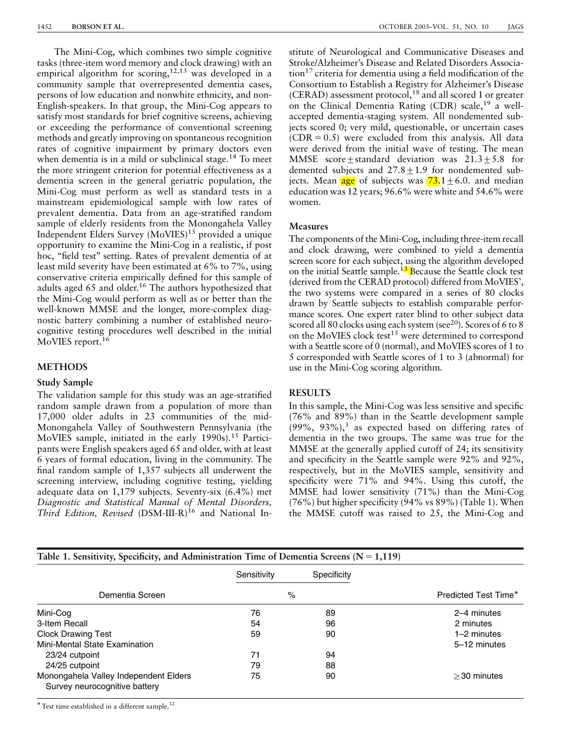The Mini-Cog, which combines two simple cognitive tasks (three-item word memory and clock drawing) with an empirical algorithm for scoring,<sup>12,13</sup> was developed in a community sample that overrepresented dementia cases, persons of low education and nonwhite ethnicity, and non-English-speakers. In that group, the Mini-Cog appears to satisfy most standards for brief cognitive screens, achieving or exceeding the performance of conventional screening methods and greatly improving on spontaneous recognition rates of cognitive impairment by primary doctors even when dementia is in a mild or subclinical stage.<sup>14</sup> To meet the more stringent criterion for potential effectiveness as a dementia screen in the general geriatric population, the Mini-Cog must perform as well as standard tests in a mainstream epidemiological sample with low rates of prevalent dementia. Data from an age-stratified random sample of elderly residents from the Monongahela Valley Independent Elders Survey (MoVIES)<sup>15</sup> provided a unique opportunity to examine the Mini-Cog in a realistic, if post hoc, "field test" setting. Rates of prevalent dementia of at least mild severity have been estimated at 6% to 7%, using conservative criteria empirically defined for this sample of adults aged 65 and older.<sup>16</sup> The authors hypothesized that the Mini-Cog would perform as well as or better than the well-known MMSE and the longer, more-complex diagnostic battery combining a number of established neurocognitive testing procedures well described in the initial MoVIES report.<sup>16</sup>

## METHODS

#### Study Sample

The validation sample for this study was an age-stratified random sample drawn from a population of more than 17,000 older adults in 23 communities of the mid-Monongahela Valley of Southwestern Pennsylvania (the MoVIES sample, initiated in the early 1990s).<sup>15</sup> Participants were English speakers aged 65 and older, with at least 6 years of formal education, living in the community. The final random sample of 1,357 subjects all underwent the screening interview, including cognitive testing, yielding adequate data on 1,179 subjects. Seventy-six (6.4%) met Diagnostic and Statistical Manual of Mental Disorders, Third Edition, Revised (DSM-III-R)<sup>16</sup> and National Institute of Neurological and Communicative Diseases and Stroke/Alzheimer's Disease and Related Disorders Association17 criteria for dementia using a field modification of the Consortium to Establish a Registry for Alzheimer's Disease (CERAD) assessment protocol,<sup>18</sup> and all scored 1 or greater on the Clinical Dementia Rating  $(CDR)$  scale,<sup>19</sup> a wellaccepted dementia-staging system. All nondemented subjects scored 0; very mild, questionable, or uncertain cases  $(CDR = 0.5)$  were excluded from this analysis. All data were derived from the initial wave of testing. The mean MMSE score+standard deviation was  $21.3+5.8$  for demented subjects and  $27.8 \pm 1.9$  for nondemented subjects. Mean age of subjects was  $\overline{73.1}$   $\pm$  6.0. and median education was 12 years; 96.6% were white and 54.6% were women.

#### Measures

The components of the Mini-Cog, including three-item recall and clock drawing, were combined to yield a dementia screen score for each subject, using the algorithm developed on the initial Seattle sample.<sup>13</sup> Because the Seattle clock test (derived from the CERAD protocol) differed from MoVIES', the two systems were compared in a series of 80 clocks drawn by Seattle subjects to establish comparable performance scores. One expert rater blind to other subject data scored all 80 clocks using each system (see<sup>20</sup>). Scores of 6 to 8 on the MoVIES clock test<sup>15</sup> were determined to correspond with a Seattle score of 0 (normal), and MoVIES scores of 1 to 5 corresponded with Seattle scores of 1 to 3 (abnormal) for use in the Mini-Cog scoring algorithm.

#### RESULTS

In this sample, the Mini-Cog was less sensitive and specific (76% and 89%) than in the Seattle development sample  $(99\%, 93\%),^3$  as expected based on differing rates of dementia in the two groups. The same was true for the MMSE at the generally applied cutoff of 24; its sensitivity and specificity in the Seattle sample were 92% and 92%, respectively, but in the MoVIES sample, sensitivity and specificity were 71% and 94%. Using this cutoff, the MMSE had lower sensitivity (71%) than the Mini-Cog (76%) but higher specificity (94% vs 89%) (Table 1). When the MMSE cutoff was raised to 25, the Mini-Cog and

| Table 1. Sensitivity, Specificity, and Administration Time of Dementia Screens ( $N = 1,119$ ) |             |             |                      |
|------------------------------------------------------------------------------------------------|-------------|-------------|----------------------|
| Dementia Screen                                                                                | Sensitivity | Specificity |                      |
|                                                                                                | $\%$        |             | Predicted Test Time* |
| Mini-Cog                                                                                       | 76          | 89          | 2–4 minutes          |
| 3-Item Recall                                                                                  | 54          | 96          | 2 minutes            |
| <b>Clock Drawing Test</b>                                                                      | 59          | 90          | 1-2 minutes          |
| Mini-Mental State Examination                                                                  |             |             | 5-12 minutes         |
| 23/24 cutpoint                                                                                 | 71          | 94          |                      |
| 24/25 cutpoint                                                                                 | 79          | 88          |                      |
| Monongahela Valley Independent Elders<br>Survey neurocognitive battery                         | 75          | 90          | $>30$ minutes        |

\* Test time established in a different sample.<sup>12</sup>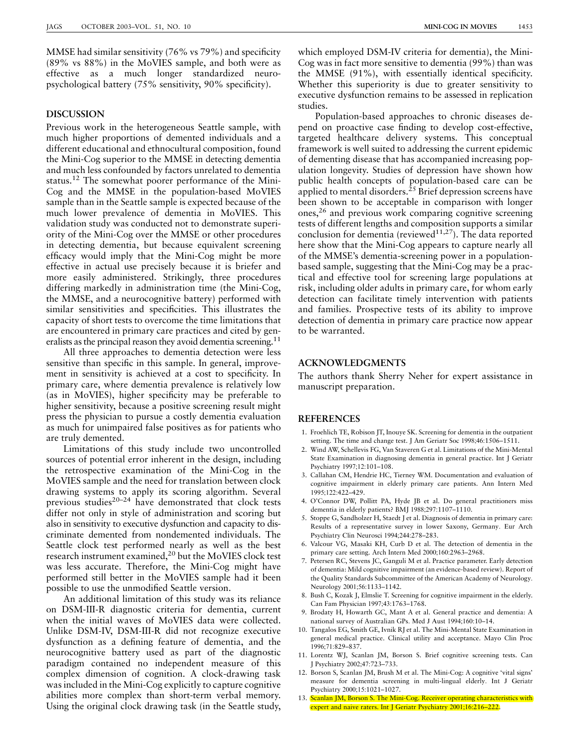MMSE had similar sensitivity (76% vs 79%) and specificity (89% vs 88%) in the MoVIES sample, and both were as effective as a much longer standardized neuropsychological battery (75% sensitivity, 90% specificity).

## DISCUSSION

Previous work in the heterogeneous Seattle sample, with much higher proportions of demented individuals and a different educational and ethnocultural composition, found the Mini-Cog superior to the MMSE in detecting dementia and much less confounded by factors unrelated to dementia status.<sup>12</sup> The somewhat poorer performance of the Mini-Cog and the MMSE in the population-based MoVIES sample than in the Seattle sample is expected because of the much lower prevalence of dementia in MoVIES. This validation study was conducted not to demonstrate superiority of the Mini-Cog over the MMSE or other procedures in detecting dementia, but because equivalent screening efficacy would imply that the Mini-Cog might be more effective in actual use precisely because it is briefer and more easily administered. Strikingly, three procedures differing markedly in administration time (the Mini-Cog, the MMSE, and a neurocognitive battery) performed with similar sensitivities and specificities. This illustrates the capacity of short tests to overcome the time limitations that are encountered in primary care practices and cited by generalists as the principal reason they avoid dementia screening.<sup>11</sup>

All three approaches to dementia detection were less sensitive than specific in this sample. In general, improvement in sensitivity is achieved at a cost to specificity. In primary care, where dementia prevalence is relatively low (as in MoVIES), higher specificity may be preferable to higher sensitivity, because a positive screening result might press the physician to pursue a costly dementia evaluation as much for unimpaired false positives as for patients who are truly demented.

Limitations of this study include two uncontrolled sources of potential error inherent in the design, including the retrospective examination of the Mini-Cog in the MoVIES sample and the need for translation between clock drawing systems to apply its scoring algorithm. Several previous studies<sup>20–24</sup> have demonstrated that clock tests differ not only in style of administration and scoring but also in sensitivity to executive dysfunction and capacity to discriminate demented from nondemented individuals. The Seattle clock test performed nearly as well as the best research instrument examined,20 but the MoVIES clock test was less accurate. Therefore, the Mini-Cog might have performed still better in the MoVIES sample had it been possible to use the unmodified Seattle version.

An additional limitation of this study was its reliance on DSM-III-R diagnostic criteria for dementia, current when the initial waves of MoVIES data were collected. Unlike DSM-IV, DSM-III-R did not recognize executive dysfunction as a defining feature of dementia, and the neurocognitive battery used as part of the diagnostic paradigm contained no independent measure of this complex dimension of cognition. A clock-drawing task was included in the Mini-Cog explicitly to capture cognitive abilities more complex than short-term verbal memory. Using the original clock drawing task (in the Seattle study, which employed DSM-IV criteria for dementia), the Mini-Cog was in fact more sensitive to dementia (99%) than was the MMSE (91%), with essentially identical specificity. Whether this superiority is due to greater sensitivity to executive dysfunction remains to be assessed in replication studies.

Population-based approaches to chronic diseases depend on proactive case finding to develop cost-effective, targeted healthcare delivery systems. This conceptual framework is well suited to addressing the current epidemic of dementing disease that has accompanied increasing population longevity. Studies of depression have shown how public health concepts of population-based care can be applied to mental disorders.<sup> $25$ </sup> Brief depression screens have been shown to be acceptable in comparison with longer ones,<sup>26</sup> and previous work comparing cognitive screening tests of different lengths and composition supports a similar conclusion for dementia (reviewed<sup>11,27</sup>). The data reported here show that the Mini-Cog appears to capture nearly all of the MMSE's dementia-screening power in a populationbased sample, suggesting that the Mini-Cog may be a practical and effective tool for screening large populations at risk, including older adults in primary care, for whom early detection can facilitate timely intervention with patients and families. Prospective tests of its ability to improve detection of dementia in primary care practice now appear to be warranted.

### ACKNOWLEDGMENTS

The authors thank Sherry Neher for expert assistance in manuscript preparation.

## **REFERENCES**

- 1. Froehlich TE, Robison JT, Inouye SK. Screening for dementia in the outpatient setting. The time and change test. J Am Geriatr Soc 1998;46:1506–1511.
- 2. Wind AW, Schellevis FG, Van Staveren G et al. Limitations of the Mini-Mental State Examination in diagnosing dementia in general practice. Int J Geriatr Psychiatry 1997;12:101–108.
- 3. Callahan CM, Hendrie HC, Tierney WM. Documentation and evaluation of cognitive impairment in elderly primary care patients. Ann Intern Med 1995;122:422–429.
- 4. O'Connor DW, Pollitt PA, Hyde JB et al. Do general practitioners miss dementia in elderly patients? BMJ 1988;297:1107–1110.
- 5. Stoppe G, Sandholzer H, Staedt J et al. Diagnosis of dementia in primary care: Results of a representative survey in lower Saxony, Germany. Eur Arch Psychiatry Clin Neurosci 1994;244:278–283.
- 6. Valcour VG, Masaki KH, Curb D et al. The detection of dementia in the primary care setting. Arch Intern Med 2000;160:2963–2968.
- 7. Petersen RC, Stevens JC, Ganguli M et al. Practice parameter. Early detection of dementia: Mild cognitive impairment (an evidence-based review). Report of the Quality Standards Subcommittee of the American Academy of Neurology. Neurology 2001;56:1133–1142.
- 8. Bush C, Kozak J, Elmslie T. Screening for cognitive impairment in the elderly. Can Fam Physician 1997;43:1763–1768.
- 9. Brodaty H, Howarth GC, Mant A et al. General practice and dementia: A national survey of Australian GPs. Med J Aust 1994;160:10–14.
- 10. Tangalos EG, Smith GE, Ivnik RJ et al. The Mini-Mental State Examination in general medical practice. Clinical utility and acceptance. Mayo Clin Proc 1996;71:829–837.
- 11. Lorentz WJ, Scanlan JM, Borson S. Brief cognitive screening tests. Can J Psychiatry 2002;47:723–733.
- 12. Borson S, Scanlan JM, Brush M et al. The Mini-Cog: A cognitive 'vital signs' measure for dementia screening in multi-lingual elderly. Int J Geriatr Psychiatry 2000;15:1021–1027.
- 13. Scanlan JM, Borson S. The Mini-Cog. Receiver operating characteristics with expert and naive raters. Int J Geriatr Psychiatry 2001;16:216–222.